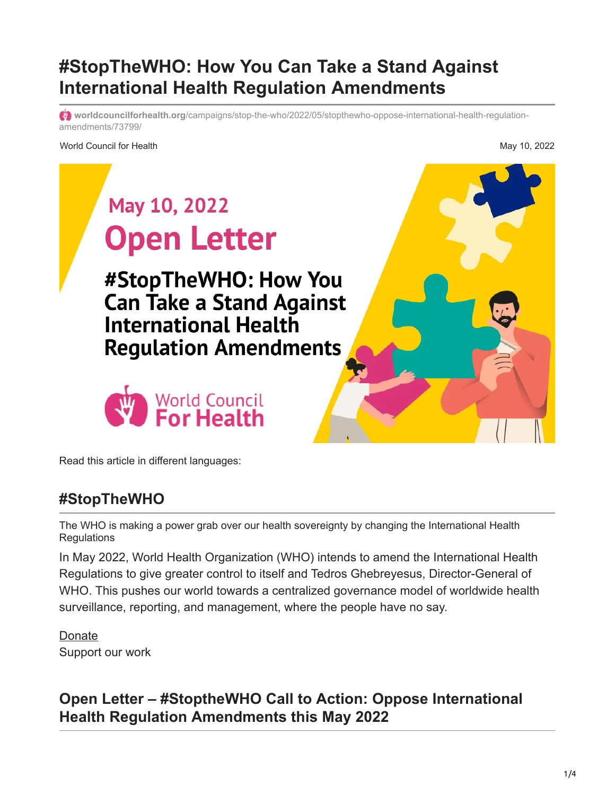# **#StopTheWHO: How You Can Take a Stand Against International Health Regulation Amendments**

**worldcouncilforhealth.org**[/campaigns/stop-the-who/2022/05/stopthewho-oppose-international-health-regulation](https://worldcouncilforhealth.org/campaigns/stop-the-who/2022/05/stopthewho-oppose-international-health-regulation-amendments/73799/)amendments/73799/

World Council for Health May 10, 2022

# May 10, 2022 **Open Letter** #StopTheWHO: How You **Can Take a Stand Against International Health Regulation Amendments** World Council<br>For Health

Read this article in different languages:

## **#StopTheWHO**

The WHO is making a power grab over our health sovereignty by changing the International Health **Regulations** 

In May 2022, World Health Organization (WHO) intends to amend the International Health Regulations to give greater control to itself and Tedros Ghebreyesus, Director-General of WHO. This pushes our world towards a centralized governance model of worldwide health surveillance, reporting, and management, where the people have no say.

[Donate](https://worldcouncilforhealth.org/donate/) Support our work

# **Open Letter – #StoptheWHO Call to Action: Oppose International Health Regulation Amendments this May 2022**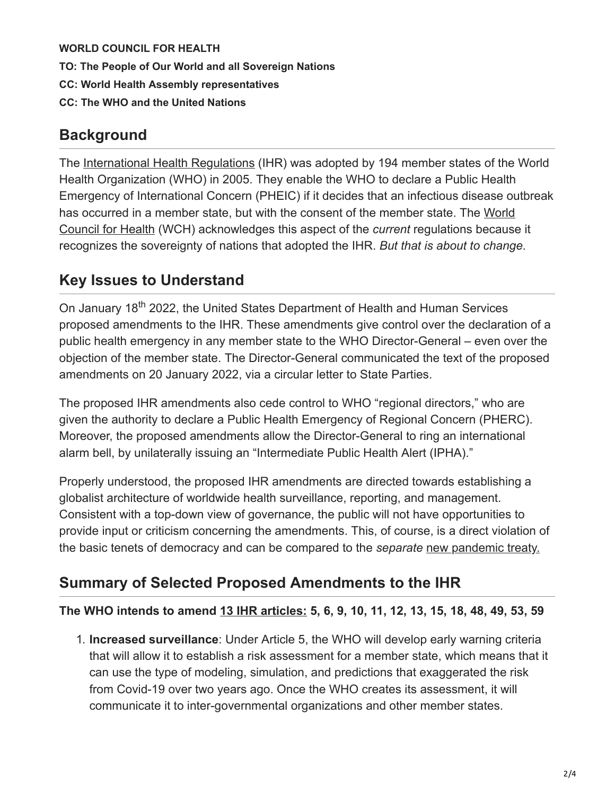**WORLD COUNCIL FOR HEALTH**

**TO: The People of Our World and all Sovereign Nations**

- **CC: World Health Assembly representatives**
- **CC: The WHO and the United Nations**

## **Background**

The [International Health Regulations](https://www.who.int/publications/i/item/9789241580496) (IHR) was adopted by 194 member states of the World Health Organization (WHO) in 2005. They enable the WHO to declare a Public Health Emergency of International Concern (PHEIC) if it decides that an infectious disease outbreak [has occurred in a member state, but with the consent of the member state. The World](http://www.worldcouncilforhealth.org/) Council for Health (WCH) acknowledges this aspect of the *current* regulations because it recognizes the sovereignty of nations that adopted the IHR. *But that is about to change.*

## **Key Issues to Understand**

On January 18<sup>th</sup> 2022, the United States Department of Health and Human Services proposed amendments to the IHR. These amendments give control over the declaration of a public health emergency in any member state to the WHO Director-General – even over the objection of the member state. The Director-General communicated the text of the proposed amendments on 20 January 2022, via a circular letter to State Parties.

The proposed IHR amendments also cede control to WHO "regional directors," who are given the authority to declare a Public Health Emergency of Regional Concern (PHERC). Moreover, the proposed amendments allow the Director-General to ring an international alarm bell, by unilaterally issuing an "Intermediate Public Health Alert (IPHA)."

Properly understood, the proposed IHR amendments are directed towards establishing a globalist architecture of worldwide health surveillance, reporting, and management. Consistent with a top-down view of governance, the public will not have opportunities to provide input or criticism concerning the amendments. This, of course, is a direct violation of the basic tenets of democracy and can be compared to the *separate* [new pandemic treaty.](https://worldcouncilforhealth.org/news/2022/03/pandemic-treaty/45591/)

## **Summary of Selected Proposed Amendments to the IHR**

#### **The WHO intends to amend [13 IHR articles:](https://apps.who.int/gb/ebwha/pdf_files/WHA75/A75_18-en.pdf) 5, 6, 9, 10, 11, 12, 13, 15, 18, 48, 49, 53, 59**

1. **Increased surveillance**: Under Article 5, the WHO will develop early warning criteria that will allow it to establish a risk assessment for a member state, which means that it can use the type of modeling, simulation, and predictions that exaggerated the risk from Covid-19 over two years ago. Once the WHO creates its assessment, it will communicate it to inter-governmental organizations and other member states.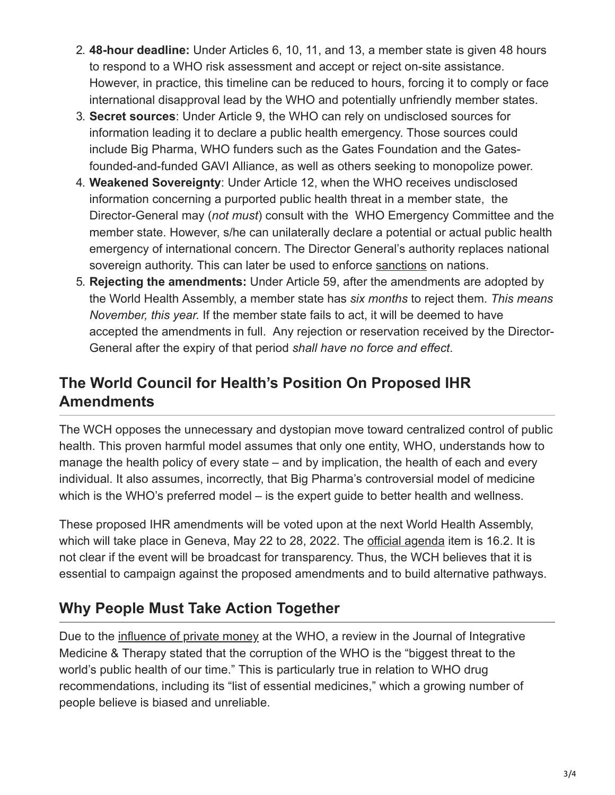- 2. **48-hour deadline:** Under Articles 6, 10, 11, and 13, a member state is given 48 hours to respond to a WHO risk assessment and accept or reject on-site assistance. However, in practice, this timeline can be reduced to hours, forcing it to comply or face international disapproval lead by the WHO and potentially unfriendly member states.
- 3. **Secret sources**: Under Article 9, the WHO can rely on undisclosed sources for information leading it to declare a public health emergency. Those sources could include Big Pharma, WHO funders such as the Gates Foundation and the Gatesfounded-and-funded GAVI Alliance, as well as others seeking to monopolize power.
- 4. **Weakened Sovereignty**: Under Article 12, when the WHO receives undisclosed information concerning a purported public health threat in a member state, the Director-General may (*not must*) consult with the WHO Emergency Committee and the member state. However, s/he can unilaterally declare a potential or actual public health emergency of international concern. The Director General's authority replaces national sovereign authority. This can later be used to enforce [sanctions](https://www.google.com/amp/s/internationallaw.blog/2021/02/26/transparency-in-international-law-of-pandemics-buttressing-the-international-health-regulations-through-incorporation-into-the-world-trade-organisation/amp/) on nations.
- 5. **Rejecting the amendments:** Under Article 59, after the amendments are adopted by the World Health Assembly, a member state has *six months* to reject them. *This means November, this year.* If the member state fails to act, it will be deemed to have accepted the amendments in full. Any rejection or reservation received by the Director-General after the expiry of that period *shall have no force and effect*.

## **The World Council for Health's Position On Proposed IHR Amendments**

The WCH opposes the unnecessary and dystopian move toward centralized control of public health. This proven harmful model assumes that only one entity, WHO, understands how to manage the health policy of every state – and by implication, the health of each and every individual. It also assumes, incorrectly, that Big Pharma's controversial model of medicine which is the WHO's preferred model – is the expert guide to better health and wellness.

These proposed IHR amendments will be voted upon at the next World Health Assembly, which will take place in Geneva, May 22 to 28, 2022. The [official agenda](https://apps.who.int/gb/e/e_wha75.html) item is 16.2. It is not clear if the event will be broadcast for transparency. Thus, the WCH believes that it is essential to campaign against the proposed amendments and to build alternative pathways.

# **Why People Must Take Action Together**

Due to the [influence of private money](https://rumble.com/voifb5-dr-chan-honestly-explains-how-the-who-is-compromised.html) at the WHO, a review in the Journal of Integrative Medicine & Therapy stated that the corruption of the WHO is the "biggest threat to the world's public health of our time." This is particularly true in relation to WHO drug recommendations, including its "list of essential medicines," which a growing number of people believe is biased and unreliable.